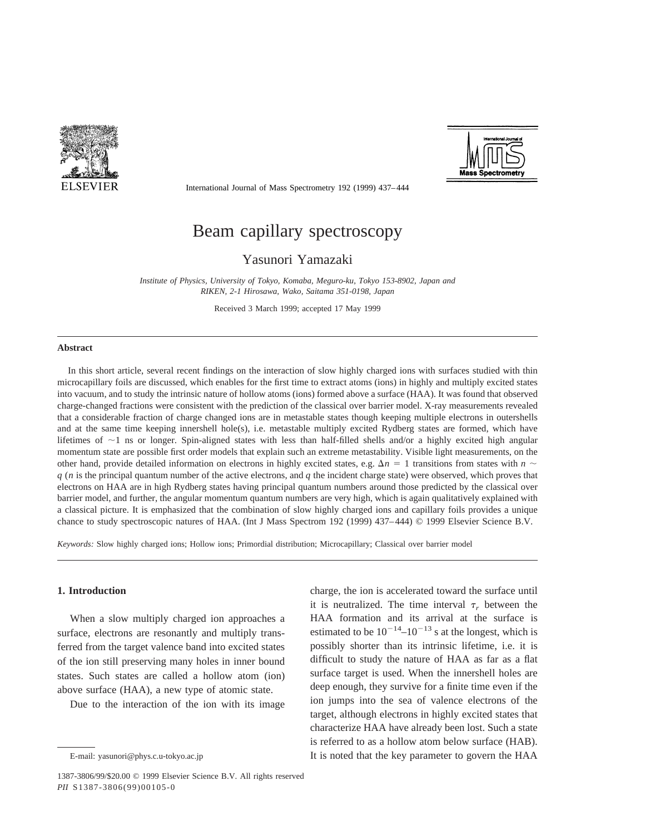



International Journal of Mass Spectrometry 192 (1999) 437–444

# Beam capillary spectroscopy

Yasunori Yamazaki

*Institute of Physics, University of Tokyo, Komaba, Meguro-ku, Tokyo 153-8902, Japan and RIKEN, 2-1 Hirosawa, Wako, Saitama 351-0198, Japan*

Received 3 March 1999; accepted 17 May 1999

# **Abstract**

In this short article, several recent findings on the interaction of slow highly charged ions with surfaces studied with thin microcapillary foils are discussed, which enables for the first time to extract atoms (ions) in highly and multiply excited states into vacuum, and to study the intrinsic nature of hollow atoms (ions) formed above a surface (HAA). It was found that observed charge-changed fractions were consistent with the prediction of the classical over barrier model. X-ray measurements revealed that a considerable fraction of charge changed ions are in metastable states though keeping multiple electrons in outershells and at the same time keeping innershell hole(s), i.e. metastable multiply excited Rydberg states are formed, which have lifetimes of  $\sim$  1 ns or longer. Spin-aligned states with less than half-filled shells and/or a highly excited high angular momentum state are possible first order models that explain such an extreme metastability. Visible light measurements, on the other hand, provide detailed information on electrons in highly excited states, e.g.  $\Delta n = 1$  transitions from states with  $n \sim$ *q* (*n* is the principal quantum number of the active electrons, and *q* the incident charge state) were observed, which proves that electrons on HAA are in high Rydberg states having principal quantum numbers around those predicted by the classical over barrier model, and further, the angular momentum quantum numbers are very high, which is again qualitatively explained with a classical picture. It is emphasized that the combination of slow highly charged ions and capillary foils provides a unique chance to study spectroscopic natures of HAA. (Int J Mass Spectrom 192 (1999) 437–444) © 1999 Elsevier Science B.V.

*Keywords:* Slow highly charged ions; Hollow ions; Primordial distribution; Microcapillary; Classical over barrier model

## **1. Introduction**

When a slow multiply charged ion approaches a surface, electrons are resonantly and multiply transferred from the target valence band into excited states of the ion still preserving many holes in inner bound states. Such states are called a hollow atom (ion) above surface (HAA), a new type of atomic state.

Due to the interaction of the ion with its image

charge, the ion is accelerated toward the surface until it is neutralized. The time interval  $\tau_r$  between the HAA formation and its arrival at the surface is estimated to be  $10^{-14}$ – $10^{-13}$  s at the longest, which is possibly shorter than its intrinsic lifetime, i.e. it is difficult to study the nature of HAA as far as a flat surface target is used. When the innershell holes are deep enough, they survive for a finite time even if the ion jumps into the sea of valence electrons of the target, although electrons in highly excited states that characterize HAA have already been lost. Such a state is referred to as a hollow atom below surface (HAB). E-mail: yasunori@phys.c.u-tokyo.ac.jp It is noted that the key parameter to govern the HAA

<sup>1387-3806/99/\$20.00 © 1999</sup> Elsevier Science B.V. All rights reserved *PII* S1387-3806(99)00105-0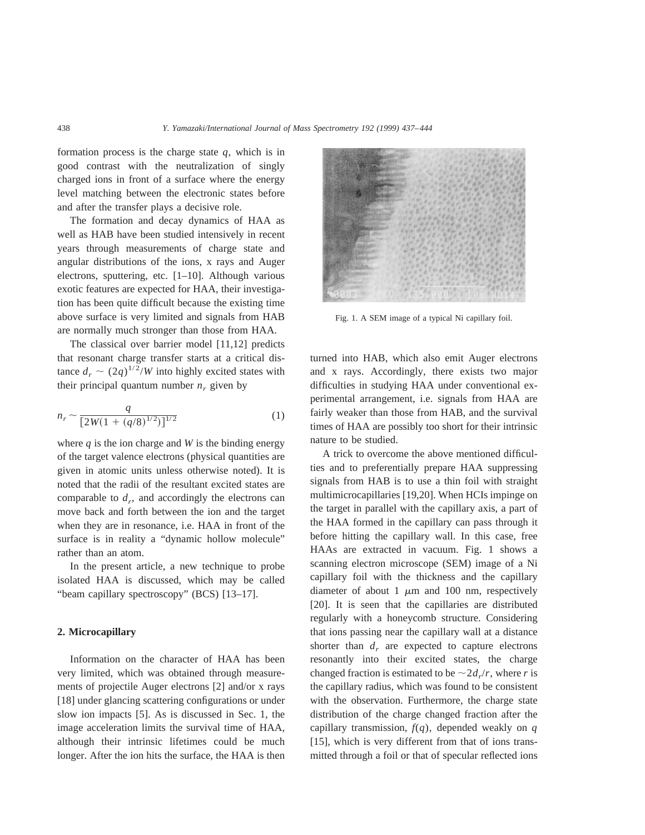formation process is the charge state *q*, which is in good contrast with the neutralization of singly charged ions in front of a surface where the energy level matching between the electronic states before and after the transfer plays a decisive role.

The formation and decay dynamics of HAA as well as HAB have been studied intensively in recent years through measurements of charge state and angular distributions of the ions, x rays and Auger electrons, sputtering, etc. [1–10]. Although various exotic features are expected for HAA, their investigation has been quite difficult because the existing time above surface is very limited and signals from HAB are normally much stronger than those from HAA.

The classical over barrier model [11,12] predicts that resonant charge transfer starts at a critical distance  $d_r \sim (2q)^{1/2}/W$  into highly excited states with their principal quantum number  $n_r$  given by

$$
n_r \sim \frac{q}{[2W(1 + (q/8)^{1/2})]^{1/2}}
$$
 (1)

where  $q$  is the ion charge and  $W$  is the binding energy of the target valence electrons (physical quantities are given in atomic units unless otherwise noted). It is noted that the radii of the resultant excited states are comparable to  $d_r$ , and accordingly the electrons can move back and forth between the ion and the target when they are in resonance, i.e. HAA in front of the surface is in reality a "dynamic hollow molecule" rather than an atom.

In the present article, a new technique to probe isolated HAA is discussed, which may be called "beam capillary spectroscopy" (BCS) [13–17].

# **2. Microcapillary**

Information on the character of HAA has been very limited, which was obtained through measurements of projectile Auger electrons [2] and/or x rays [18] under glancing scattering configurations or under slow ion impacts [5]. As is discussed in Sec. 1, the image acceleration limits the survival time of HAA, although their intrinsic lifetimes could be much longer. After the ion hits the surface, the HAA is then



Fig. 1. A SEM image of a typical Ni capillary foil.

turned into HAB, which also emit Auger electrons and x rays. Accordingly, there exists two major difficulties in studying HAA under conventional experimental arrangement, i.e. signals from HAA are fairly weaker than those from HAB, and the survival times of HAA are possibly too short for their intrinsic nature to be studied.

A trick to overcome the above mentioned difficulties and to preferentially prepare HAA suppressing signals from HAB is to use a thin foil with straight multimicrocapillaries [19,20]. When HCIs impinge on the target in parallel with the capillary axis, a part of the HAA formed in the capillary can pass through it before hitting the capillary wall. In this case, free HAAs are extracted in vacuum. Fig. 1 shows a scanning electron microscope (SEM) image of a Ni capillary foil with the thickness and the capillary diameter of about 1  $\mu$ m and 100 nm, respectively [20]. It is seen that the capillaries are distributed regularly with a honeycomb structure. Considering that ions passing near the capillary wall at a distance shorter than  $d<sub>r</sub>$  are expected to capture electrons resonantly into their excited states, the charge changed fraction is estimated to be  $\sim 2d_r/r$ , where *r* is the capillary radius, which was found to be consistent with the observation. Furthermore, the charge state distribution of the charge changed fraction after the capillary transmission, *f*(*q*), depended weakly on *q* [15], which is very different from that of ions transmitted through a foil or that of specular reflected ions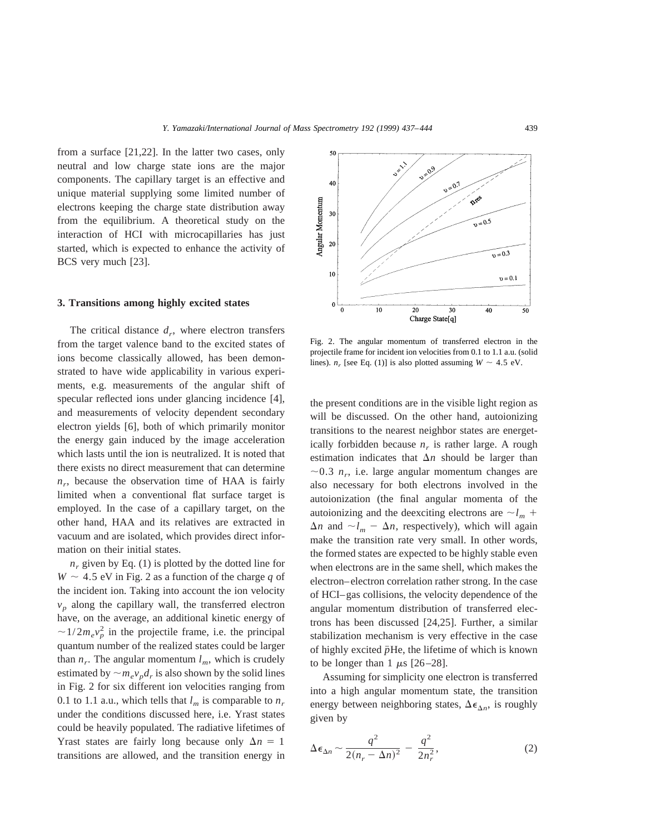from a surface [21,22]. In the latter two cases, only neutral and low charge state ions are the major components. The capillary target is an effective and unique material supplying some limited number of electrons keeping the charge state distribution away from the equilibrium. A theoretical study on the interaction of HCI with microcapillaries has just started, which is expected to enhance the activity of BCS very much [23].

#### **3. Transitions among highly excited states**

The critical distance  $d_r$ , where electron transfers from the target valence band to the excited states of ions become classically allowed, has been demonstrated to have wide applicability in various experiments, e.g. measurements of the angular shift of specular reflected ions under glancing incidence [4], and measurements of velocity dependent secondary electron yields [6], both of which primarily monitor the energy gain induced by the image acceleration which lasts until the ion is neutralized. It is noted that there exists no direct measurement that can determine *nr*, because the observation time of HAA is fairly limited when a conventional flat surface target is employed. In the case of a capillary target, on the other hand, HAA and its relatives are extracted in vacuum and are isolated, which provides direct information on their initial states.

 $n_r$  given by Eq. (1) is plotted by the dotted line for  $W \sim 4.5$  eV in Fig. 2 as a function of the charge *q* of the incident ion. Taking into account the ion velocity  $v_p$  along the capillary wall, the transferred electron have, on the average, an additional kinetic energy of  $\sim$ 1/2 $m_e v_p^2$  in the projectile frame, i.e. the principal quantum number of the realized states could be larger than  $n_r$ . The angular momentum  $l_m$ , which is crudely estimated by  $\sim m_e v_p d_r$  is also shown by the solid lines in Fig. 2 for six different ion velocities ranging from 0.1 to 1.1 a.u., which tells that  $l_m$  is comparable to  $n_r$ under the conditions discussed here, i.e. Yrast states could be heavily populated. The radiative lifetimes of Yrast states are fairly long because only  $\Delta n = 1$ transitions are allowed, and the transition energy in



Fig. 2. The angular momentum of transferred electron in the projectile frame for incident ion velocities from 0.1 to 1.1 a.u. (solid lines). *n<sub>r</sub>* [see Eq. (1)] is also plotted assuming  $W \sim 4.5$  eV.

the present conditions are in the visible light region as will be discussed. On the other hand, autoionizing transitions to the nearest neighbor states are energetically forbidden because  $n_r$  is rather large. A rough estimation indicates that  $\Delta n$  should be larger than  $\sim$ 0.3  $n_r$ , i.e. large angular momentum changes are also necessary for both electrons involved in the autoionization (the final angular momenta of the autoionizing and the deexciting electrons are  $\sim l_m$  +  $\Delta n$  and  $\sim l_m - \Delta n$ , respectively), which will again make the transition rate very small. In other words, the formed states are expected to be highly stable even when electrons are in the same shell, which makes the electron–electron correlation rather strong. In the case of HCI–gas collisions, the velocity dependence of the angular momentum distribution of transferred electrons has been discussed [24,25]. Further, a similar stabilization mechanism is very effective in the case of highly excited  $\bar{p}$ He, the lifetime of which is known to be longer than 1  $\mu$ s [26–28].

Assuming for simplicity one electron is transferred into a high angular momentum state, the transition energy between neighboring states,  $\Delta \epsilon_{\Delta n}$ , is roughly given by

$$
\Delta \epsilon_{\Delta n} \sim \frac{q^2}{2(n_r - \Delta n)^2} - \frac{q^2}{2n_r^2},\tag{2}
$$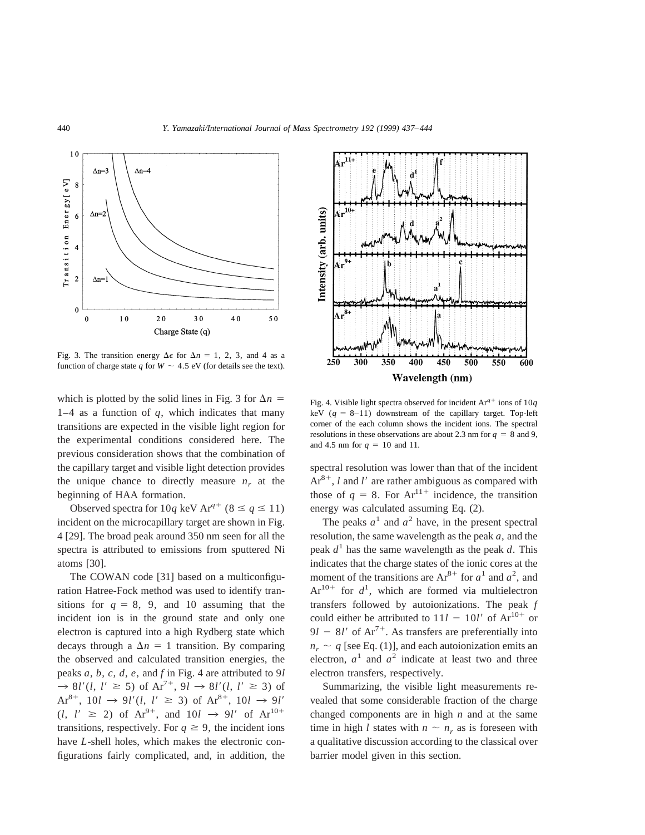

Fig. 3. The transition energy  $\Delta \epsilon$  for  $\Delta n = 1, 2, 3$ , and 4 as a function of charge state *q* for  $W \sim 4.5$  eV (for details see the text).

which is plotted by the solid lines in Fig. 3 for  $\Delta n =$ 1–4 as a function of  $q$ , which indicates that many transitions are expected in the visible light region for the experimental conditions considered here. The previous consideration shows that the combination of the capillary target and visible light detection provides the unique chance to directly measure  $n_r$  at the beginning of HAA formation.

Observed spectra for  $10q$  keV Ar<sup>q+</sup> (8  $\leq q \leq 11$ ) incident on the microcapillary target are shown in Fig. 4 [29]. The broad peak around 350 nm seen for all the spectra is attributed to emissions from sputtered Ni atoms [30].

The COWAN code [31] based on a multiconfiguration Hatree-Fock method was used to identify transitions for  $q = 8$ , 9, and 10 assuming that the incident ion is in the ground state and only one electron is captured into a high Rydberg state which decays through a  $\Delta n = 1$  transition. By comparing the observed and calculated transition energies, the peaks *a*, *b*, *c*, *d*, *e*, and *f* in Fig. 4 are attributed to 9*l*  $\rightarrow$  8*l'*(*l*, *l'*  $\geq$  5) of Ar<sup>7+</sup>, 9*l*  $\rightarrow$  8*l'*(*l*, *l'*  $\geq$  3) of Ar<sup>8+</sup>, 10*l*  $\rightarrow$  9*l'*(*l*, *l'*  $\ge$  3) of Ar<sup>8+</sup>, 10*l*  $\rightarrow$  9*l'*  $(l, l' \ge 2)$  of  $Ar^{9+}$ , and  $10l \rightarrow 9l'$  of  $Ar^{10+}$ transitions, respectively. For  $q \ge 9$ , the incident ions have *L*-shell holes, which makes the electronic configurations fairly complicated, and, in addition, the



Fig. 4. Visible light spectra observed for incident  $Ar^{q+}$  ions of  $10q$ keV  $(q = 8-11)$  downstream of the capillary target. Top-left corner of the each column shows the incident ions. The spectral resolutions in these observations are about 2.3 nm for  $q = 8$  and 9, and 4.5 nm for  $q = 10$  and 11.

spectral resolution was lower than that of the incident  $Ar^{8+}$ , *l* and *l'* are rather ambiguous as compared with those of  $q = 8$ . For Ar<sup>11+</sup> incidence, the transition energy was calculated assuming Eq. (2).

The peaks  $a^1$  and  $a^2$  have, in the present spectral resolution, the same wavelength as the peak *a*, and the peak  $d<sup>1</sup>$  has the same wavelength as the peak  $d$ . This indicates that the charge states of the ionic cores at the moment of the transitions are  $Ar^{8+}$  for  $a^1$  and  $a^2$ , and  $Ar^{10+}$  for  $d^1$ , which are formed via multielectron transfers followed by autoionizations. The peak *f* could either be attributed to  $11l - 10l'$  of Ar<sup>10+</sup> or  $9l - 8l'$  of Ar<sup>7+</sup>. As transfers are preferentially into  $n_r \sim q$  [see Eq. (1)], and each autoionization emits an electron,  $a^1$  and  $a^2$  indicate at least two and three electron transfers, respectively.

Summarizing, the visible light measurements revealed that some considerable fraction of the charge changed components are in high *n* and at the same time in high *l* states with  $n \sim n_r$  as is foreseen with a qualitative discussion according to the classical over barrier model given in this section.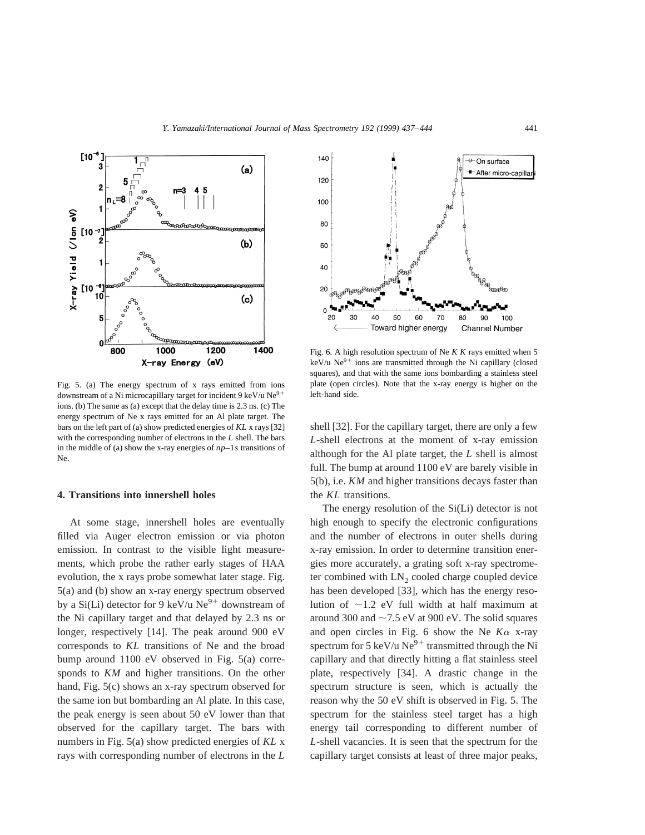

Fig. 5. (a) The energy spectrum of x rays emitted from ions downstream of a Ni microcapillary target for incident 9 keV/u  $Ne<sup>9+</sup>$ ions. (b) The same as (a) except that the delay time is 2.3 ns. (c) The energy spectrum of Ne x rays emitted for an Al plate target. The bars on the left part of (a) show predicted energies of *KL* x rays [32] with the corresponding number of electrons in the *L* shell. The bars in the middle of (a) show the x-ray energies of *np*–1*s* transitions of Ne.

# **4. Transitions into innershell holes**

At some stage, innershell holes are eventually filled via Auger electron emission or via photon emission. In contrast to the visible light measurements, which probe the rather early stages of HAA evolution, the x rays probe somewhat later stage. Fig. 5(a) and (b) show an x-ray energy spectrum observed by a Si(Li) detector for 9 keV/u  $Ne^{9+}$  downstream of the Ni capillary target and that delayed by 2.3 ns or longer, respectively [14]. The peak around 900 eV corresponds to *KL* transitions of Ne and the broad bump around 1100 eV observed in Fig. 5(a) corresponds to *KM* and higher transitions. On the other hand, Fig. 5(c) shows an x-ray spectrum observed for the same ion but bombarding an Al plate. In this case, the peak energy is seen about 50 eV lower than that observed for the capillary target. The bars with numbers in Fig. 5(a) show predicted energies of *KL* x rays with corresponding number of electrons in the *L*



Fig. 6. A high resolution spectrum of Ne *K K* rays emitted when 5 keV/u  $Ne^{9+}$  ions are transmitted through the Ni capillary (closed squares), and that with the same ions bombarding a stainless steel plate (open circles). Note that the x-ray energy is higher on the left-hand side.

shell [32]. For the capillary target, there are only a few *L*-shell electrons at the moment of x-ray emission although for the Al plate target, the *L* shell is almost full. The bump at around 1100 eV are barely visible in 5(b), i.e. *KM* and higher transitions decays faster than the *KL* transitions.

The energy resolution of the Si(Li) detector is not high enough to specify the electronic configurations and the number of electrons in outer shells during x-ray emission. In order to determine transition energies more accurately, a grating soft x-ray spectrometer combined with  $LN<sub>2</sub>$  cooled charge coupled device has been developed [33], which has the energy resolution of  $\sim$ 1.2 eV full width at half maximum at around 300 and  $\sim$  7.5 eV at 900 eV. The solid squares and open circles in Fig. 6 show the Ne  $K\alpha$  x-ray spectrum for 5 keV/u  $Ne<sup>9+</sup>$  transmitted through the Ni capillary and that directly hitting a flat stainless steel plate, respectively [34]. A drastic change in the spectrum structure is seen, which is actually the reason why the 50 eV shift is observed in Fig. 5. The spectrum for the stainless steel target has a high energy tail corresponding to different number of *L*-shell vacancies. It is seen that the spectrum for the capillary target consists at least of three major peaks,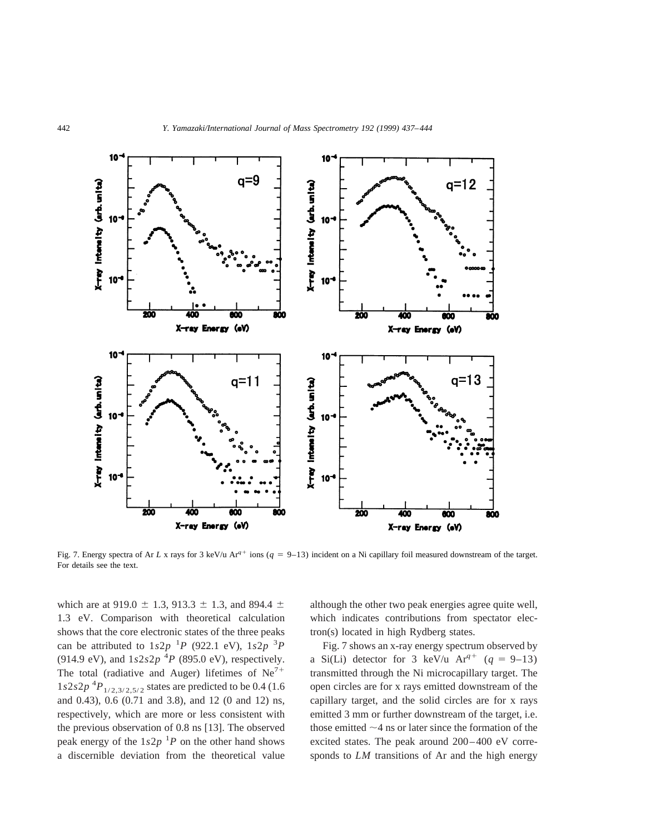

Fig. 7. Energy spectra of Ar *L* x rays for 3 keV/u Ar<sup>q+</sup> ions ( $q = 9-13$ ) incident on a Ni capillary foil measured downstream of the target. For details see the text.

which are at 919.0  $\pm$  1.3, 913.3  $\pm$  1.3, and 894.4  $\pm$ 1.3 eV. Comparison with theoretical calculation shows that the core electronic states of the three peaks can be attributed to  $1s2p^{-1}P$  (922.1 eV),  $1s2p^{-3}P$ (914.9 eV), and  $1s2s2p$  <sup>4</sup>P (895.0 eV), respectively. The total (radiative and Auger) lifetimes of  $Ne^{7+}$  $1s2s2p$ <sup>4</sup> $P_{1/2,3/2,5/2}$  states are predicted to be 0.4 (1.6) and 0.43), 0.6 (0.71 and 3.8), and 12 (0 and 12) ns, respectively, which are more or less consistent with the previous observation of 0.8 ns [13]. The observed peak energy of the  $1s2p^{-1}P$  on the other hand shows a discernible deviation from the theoretical value although the other two peak energies agree quite well, which indicates contributions from spectator electron(s) located in high Rydberg states.

Fig. 7 shows an x-ray energy spectrum observed by a Si(Li) detector for 3 keV/u Ar<sup>q+</sup> ( $q = 9-13$ ) transmitted through the Ni microcapillary target. The open circles are for x rays emitted downstream of the capillary target, and the solid circles are for x rays emitted 3 mm or further downstream of the target, i.e. those emitted  $\sim$ 4 ns or later since the formation of the excited states. The peak around 200–400 eV corresponds to *LM* transitions of Ar and the high energy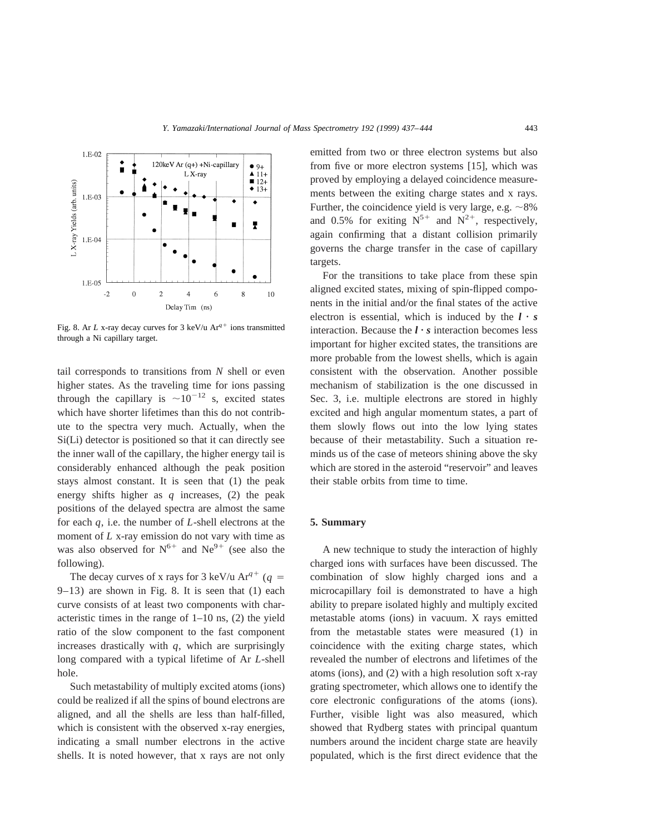

Fig. 8. Ar *L* x-ray decay curves for 3 keV/u  $Ar^{q+}$  ions transmitted through a Ni capillary target.

tail corresponds to transitions from *N* shell or even higher states. As the traveling time for ions passing through the capillary is  $\sim 10^{-12}$  s, excited states which have shorter lifetimes than this do not contribute to the spectra very much. Actually, when the Si(Li) detector is positioned so that it can directly see the inner wall of the capillary, the higher energy tail is considerably enhanced although the peak position stays almost constant. It is seen that (1) the peak energy shifts higher as *q* increases, (2) the peak positions of the delayed spectra are almost the same for each *q*, i.e. the number of *L*-shell electrons at the moment of *L* x-ray emission do not vary with time as was also observed for  $N^{6+}$  and  $Ne^{9+}$  (see also the following).

The decay curves of x rays for 3 keV/u Ar<sup>q+</sup> ( $q =$ 9–13) are shown in Fig. 8. It is seen that (1) each curve consists of at least two components with characteristic times in the range of 1–10 ns, (2) the yield ratio of the slow component to the fast component increases drastically with *q*, which are surprisingly long compared with a typical lifetime of Ar *L*-shell hole.

Such metastability of multiply excited atoms (ions) could be realized if all the spins of bound electrons are aligned, and all the shells are less than half-filled, which is consistent with the observed x-ray energies, indicating a small number electrons in the active shells. It is noted however, that x rays are not only emitted from two or three electron systems but also from five or more electron systems [15], which was proved by employing a delayed coincidence measurements between the exiting charge states and x rays. Further, the coincidence yield is very large, e.g.  $\sim$ 8% and 0.5% for exiting  $N^{5+}$  and  $N^{2+}$ , respectively, again confirming that a distant collision primarily governs the charge transfer in the case of capillary targets.

For the transitions to take place from these spin aligned excited states, mixing of spin-flipped components in the initial and/or the final states of the active electron is essential, which is induced by the  $l \cdot s$ interaction. Because the  $l \cdot s$  interaction becomes less important for higher excited states, the transitions are more probable from the lowest shells, which is again consistent with the observation. Another possible mechanism of stabilization is the one discussed in Sec. 3, i.e. multiple electrons are stored in highly excited and high angular momentum states, a part of them slowly flows out into the low lying states because of their metastability. Such a situation reminds us of the case of meteors shining above the sky which are stored in the asteroid "reservoir" and leaves their stable orbits from time to time.

# **5. Summary**

A new technique to study the interaction of highly charged ions with surfaces have been discussed. The combination of slow highly charged ions and a microcapillary foil is demonstrated to have a high ability to prepare isolated highly and multiply excited metastable atoms (ions) in vacuum. X rays emitted from the metastable states were measured (1) in coincidence with the exiting charge states, which revealed the number of electrons and lifetimes of the atoms (ions), and (2) with a high resolution soft x-ray grating spectrometer, which allows one to identify the core electronic configurations of the atoms (ions). Further, visible light was also measured, which showed that Rydberg states with principal quantum numbers around the incident charge state are heavily populated, which is the first direct evidence that the